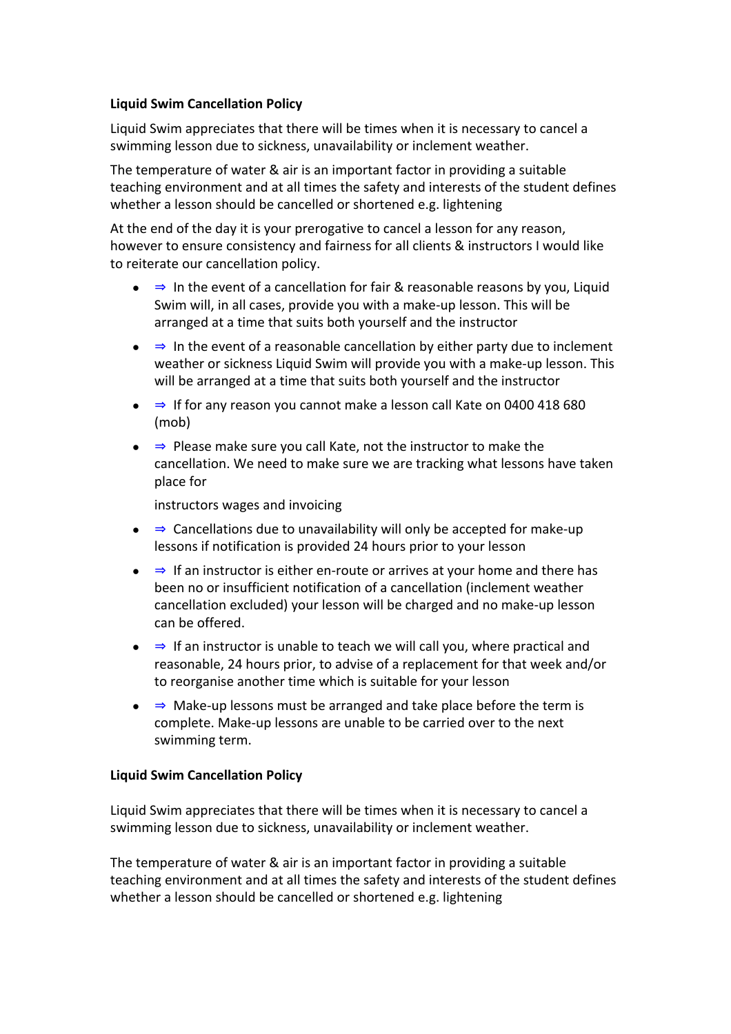## **Liquid Swim Cancellation Policy**

Liquid Swim appreciates that there will be times when it is necessary to cancel a swimming lesson due to sickness, unavailability or inclement weather.

The temperature of water & air is an important factor in providing a suitable teaching environment and at all times the safety and interests of the student defines whether a lesson should be cancelled or shortened e.g. lightening

At the end of the day it is your prerogative to cancel a lesson for any reason, however to ensure consistency and fairness for all clients & instructors I would like to reiterate our cancellation policy.

- $\bullet \Rightarrow$  In the event of a cancellation for fair & reasonable reasons by you, Liquid Swim will, in all cases, provide you with a make-up lesson. This will be arranged at a time that suits both yourself and the instructor
- $\bullet \Rightarrow$  In the event of a reasonable cancellation by either party due to inclement weather or sickness Liquid Swim will provide you with a make-up lesson. This will be arranged at a time that suits both yourself and the instructor
- ⇒ If for any reason you cannot make a lesson call Kate on 0400 418 680 (mob)
- ⇒ Please make sure you call Kate, not the instructor to make the cancellation. We need to make sure we are tracking what lessons have taken place for

instructors wages and invoicing

- $\Rightarrow$  Cancellations due to unavailability will only be accepted for make-up lessons if notification is provided 24 hours prior to your lesson
- ⇒ If an instructor is either en-route or arrives at your home and there has been no or insufficient notification of a cancellation (inclement weather cancellation excluded) your lesson will be charged and no make-up lesson can be offered.
- ⇒ If an instructor is unable to teach we will call you, where practical and reasonable, 24 hours prior, to advise of a replacement for that week and/or to reorganise another time which is suitable for your lesson
- ⇒ Make-up lessons must be arranged and take place before the term is complete. Make-up lessons are unable to be carried over to the next swimming term.

## **Liquid Swim Cancellation Policy**

Liquid Swim appreciates that there will be times when it is necessary to cancel a swimming lesson due to sickness, unavailability or inclement weather.

The temperature of water & air is an important factor in providing a suitable teaching environment and at all times the safety and interests of the student defines whether a lesson should be cancelled or shortened e.g. lightening